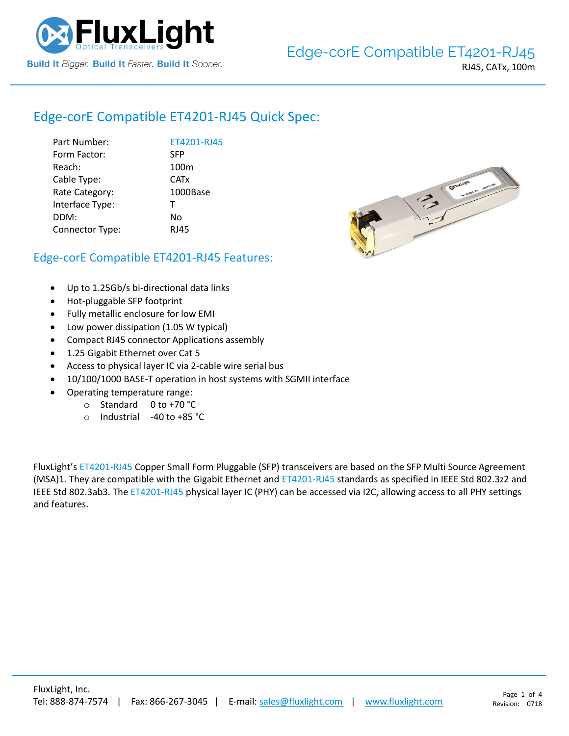

# Edge-corE Compatible [ET4201-RJ45](https://www.fluxlight.com/) Quick Spec:

| ET4201-RJ45      |
|------------------|
| <b>SFP</b>       |
| 100 <sub>m</sub> |
| <b>CATx</b>      |
| 1000Base         |
| $\mathsf{T}$     |
| No               |
| <b>RJ45</b>      |
|                  |



## Edge-corE Compatible [ET4201-RJ45](https://www.fluxlight.com/) Features:

- Up to 1.25Gb/s bi-directional data links
- Hot-pluggable SFP footprint
- Fully metallic enclosure for low EMI
- Low power dissipation (1.05 W typical)
- Compact RJ45 connector Applications assembly
- 1.25 Gigabit Ethernet over Cat 5
- Access to physical layer IC via 2-cable wire serial bus
- 10/100/1000 BASE-T operation in host systems with SGMII interface
- Operating temperature range:
	- o Standard 0 to +70 °C
	- o Industrial -40 to +85 °C

FluxLight's [ET4201-RJ45](https://www.fluxlight.com/) Copper Small Form Pluggable (SFP) transceivers are based on the SFP Multi Source Agreement (MSA)1. They are compatible with the Gigabit Ethernet and [ET4201-RJ45](https://www.fluxlight.com/) standards as specified in IEEE Std 802.3z2 and IEEE Std 802.3ab3. Th[e ET4201-RJ45](https://www.fluxlight.com/) physical layer IC (PHY) can be accessed via I2C, allowing access to all PHY settings and features.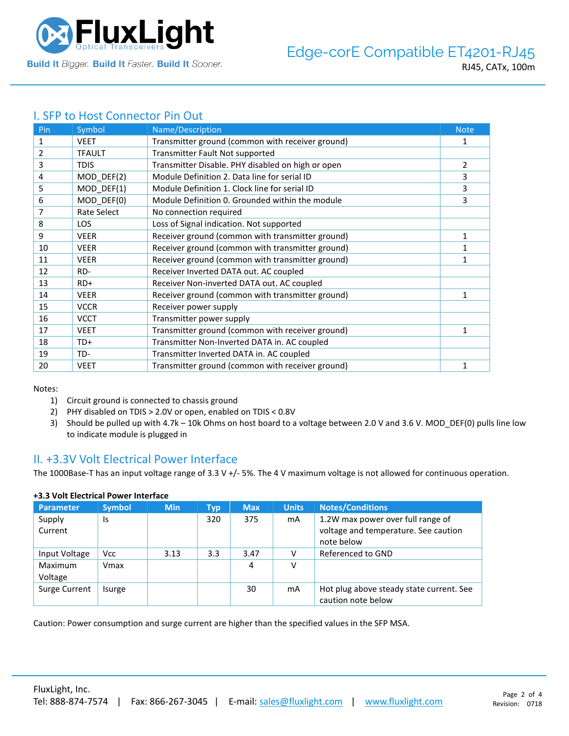

## I. SFP to Host Connector Pin Out

| Pin | Symbol        | Name/Description                                  | <b>Note</b>  |
|-----|---------------|---------------------------------------------------|--------------|
| 1   | <b>VEET</b>   | Transmitter ground (common with receiver ground)  | 1            |
| 2   | <b>TFAULT</b> | Transmitter Fault Not supported                   |              |
| 3   | <b>TDIS</b>   | Transmitter Disable. PHY disabled on high or open | 2            |
| 4   | MOD_DEF(2)    | Module Definition 2. Data line for serial ID      | 3            |
| 5   | MOD_DEF(1)    | Module Definition 1. Clock line for serial ID     | 3            |
| 6   | MOD DEF(0)    | Module Definition 0. Grounded within the module   | 3            |
| 7   | Rate Select   | No connection required                            |              |
| 8   | <b>LOS</b>    | Loss of Signal indication. Not supported          |              |
| 9   | <b>VEER</b>   | Receiver ground (common with transmitter ground)  | 1            |
| 10  | <b>VEER</b>   | Receiver ground (common with transmitter ground)  |              |
| 11  | <b>VEER</b>   | Receiver ground (common with transmitter ground)  | 1            |
| 12  | RD-           | Receiver Inverted DATA out. AC coupled            |              |
| 13  | $RD+$         | Receiver Non-inverted DATA out. AC coupled        |              |
| 14  | <b>VEER</b>   | Receiver ground (common with transmitter ground)  | 1            |
| 15  | <b>VCCR</b>   | Receiver power supply                             |              |
| 16  | <b>VCCT</b>   | Transmitter power supply                          |              |
| 17  | <b>VEET</b>   | Transmitter ground (common with receiver ground)  | 1            |
| 18  | TD+           | Transmitter Non-Inverted DATA in. AC coupled      |              |
| 19  | TD-           | Transmitter Inverted DATA in. AC coupled          |              |
| 20  | <b>VEET</b>   | Transmitter ground (common with receiver ground)  | $\mathbf{1}$ |

Notes:

- 1) Circuit ground is connected to chassis ground
- 2) PHY disabled on TDIS > 2.0V or open, enabled on TDIS < 0.8V
- 3) Should be pulled up with 4.7k 10k Ohms on host board to a voltage between 2.0 V and 3.6 V. MOD\_DEF(0) pulls line low to indicate module is plugged in

## II. +3.3V Volt Electrical Power Interface

The 1000Base-T has an input voltage range of 3.3 V +/- 5%. The 4 V maximum voltage is not allowed for continuous operation.

| <b>Parameter</b>   | <b>Symbol</b> | <b>Min</b> | Typ | <b>Max</b> | <b>Units</b> | <b>Notes/Conditions</b>                                                                 |
|--------------------|---------------|------------|-----|------------|--------------|-----------------------------------------------------------------------------------------|
| Supply<br>Current  | Is            |            | 320 | 375        | mA           | 1.2W max power over full range of<br>voltage and temperature. See caution<br>note below |
| Input Voltage      | <b>Vcc</b>    | 3.13       | 3.3 | 3.47       |              | Referenced to GND                                                                       |
| Maximum<br>Voltage | Vmax          |            |     | 4          | v            |                                                                                         |
| Surge Current      | Isurge        |            |     | 30         | mA           | Hot plug above steady state current. See<br>caution note below                          |

#### **+3.3 Volt Electrical Power Interface**

Caution: Power consumption and surge current are higher than the specified values in the SFP MSA.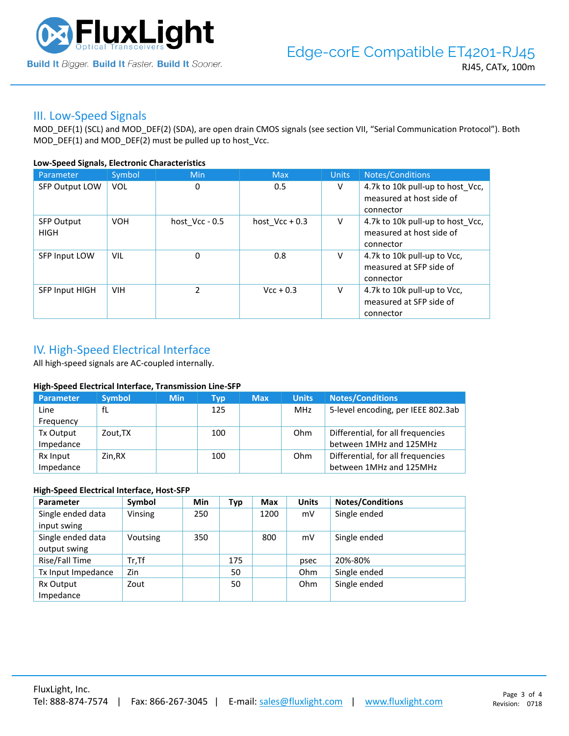

### III. Low-Speed Signals

MOD\_DEF(1) (SCL) and MOD\_DEF(2) (SDA), are open drain CMOS signals (see section VII, "Serial Communication Protocol"). Both MOD\_DEF(1) and MOD\_DEF(2) must be pulled up to host\_Vcc.

#### **Low-Speed Signals, Electronic Characteristics**

| Parameter                        | Symbol     | Min            | <b>Max</b>       | <b>Units</b> | Notes/Conditions                                                          |
|----------------------------------|------------|----------------|------------------|--------------|---------------------------------------------------------------------------|
| SFP Output LOW                   | <b>VOL</b> | 0              | 0.5              | V            | 4.7k to 10k pull-up to host_Vcc,<br>measured at host side of<br>connector |
| <b>SFP Output</b><br><b>HIGH</b> | <b>VOH</b> | host Vcc - 0.5 | host $Vcc + 0.3$ | V            | 4.7k to 10k pull-up to host Vcc,<br>measured at host side of<br>connector |
| SFP Input LOW                    | VIL        | 0              | 0.8              | V            | 4.7k to 10k pull-up to Vcc,<br>measured at SFP side of<br>connector       |
| <b>SFP Input HIGH</b>            | <b>VIH</b> | $\mathcal{P}$  | $Vcc + 0.3$      | V            | 4.7k to 10k pull-up to Vcc,<br>measured at SFP side of<br>connector       |

## IV. High-Speed Electrical Interface

All high-speed signals are AC-coupled internally.

#### **High-Speed Electrical Interface, Transmission Line-SFP**

| Parameter | <b>Symbol</b> | <b>Min</b> | Typ | <b>Max</b> | <b>Units</b> | <b>Notes/Conditions</b>            |
|-----------|---------------|------------|-----|------------|--------------|------------------------------------|
| Line      | fL            |            | 125 |            | MHz          | 5-level encoding, per IEEE 802.3ab |
| Frequency |               |            |     |            |              |                                    |
| Tx Output | Zout, TX      |            | 100 |            | Ohm          | Differential, for all frequencies  |
| Impedance |               |            |     |            |              | between 1MHz and 125MHz            |
| Rx Input  | Zin.RX        |            | 100 |            | Ohm          | Differential, for all frequencies  |
| Impedance |               |            |     |            |              | between 1MHz and 125MHz            |

#### **High-Speed Electrical Interface, Host-SFP**

| Parameter          | Symbol   | <b>Min</b> | Typ | <b>Max</b> | <b>Units</b> | <b>Notes/Conditions</b> |
|--------------------|----------|------------|-----|------------|--------------|-------------------------|
| Single ended data  | Vinsing  | 250        |     | 1200       | mV           | Single ended            |
| input swing        |          |            |     |            |              |                         |
| Single ended data  | Voutsing | 350        |     | 800        | mV           | Single ended            |
| output swing       |          |            |     |            |              |                         |
| Rise/Fall Time     | $Tr.$ Tf |            | 175 |            | psec         | 20%-80%                 |
| Tx Input Impedance | Zin      |            | 50  |            | Ohm          | Single ended            |
| Rx Output          | Zout     |            | 50  |            | Ohm          | Single ended            |
| Impedance          |          |            |     |            |              |                         |